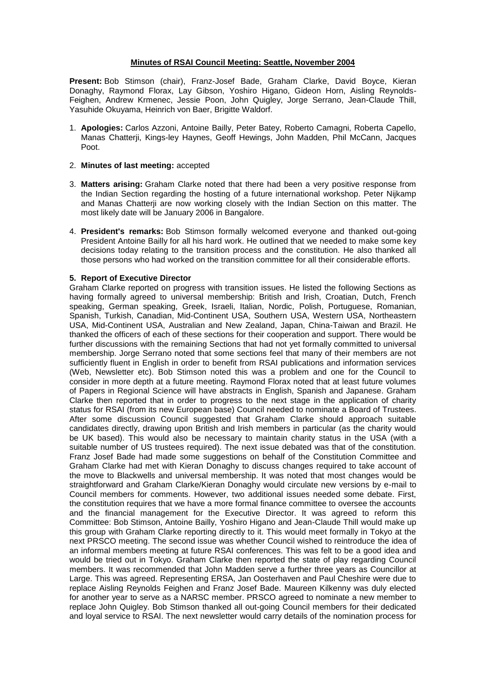### **Minutes of RSAI Council Meeting: Seattle, November 2004**

**Present:** Bob Stimson (chair), Franz-Josef Bade, Graham Clarke, David Boyce, Kieran Donaghy, Raymond Florax, Lay Gibson, Yoshiro Higano, Gideon Horn, Aisling Reynolds-Feighen, Andrew Krmenec, Jessie Poon, John Quigley, Jorge Serrano, Jean-Claude Thill, Yasuhide Okuyama, Heinrich von Baer, Brigitte Waldorf.

1. **Apologies:** Carlos Azzoni, Antoine Bailly, Peter Batey, Roberto Camagni, Roberta Capello, Manas Chatterji, Kings-ley Haynes, Geoff Hewings, John Madden, Phil McCann, Jacques Poot.

# 2. **Minutes of last meeting:** accepted

- 3. **Matters arising:** Graham Clarke noted that there had been a very positive response from the Indian Section regarding the hosting of a future international workshop. Peter Nijkamp and Manas Chatterji are now working closely with the Indian Section on this matter. The most likely date will be January 2006 in Bangalore.
- 4. **President's remarks:** Bob Stimson formally welcomed everyone and thanked out-going President Antoine Bailly for all his hard work. He outlined that we needed to make some key decisions today relating to the transition process and the constitution. He also thanked all those persons who had worked on the transition committee for all their considerable efforts.

# **5. Report of Executive Director**

Graham Clarke reported on progress with transition issues. He listed the following Sections as having formally agreed to universal membership: British and Irish, Croatian, Dutch, French speaking, German speaking, Greek, Israeli, Italian, Nordic, Polish, Portuguese, Romanian, Spanish, Turkish, Canadian, Mid-Continent USA, Southern USA, Western USA, Northeastern USA, Mid-Continent USA, Australian and New Zealand, Japan, China-Taiwan and Brazil. He thanked the officers of each of these sections for their cooperation and support. There would be further discussions with the remaining Sections that had not yet formally committed to universal membership. Jorge Serrano noted that some sections feel that many of their members are not sufficiently fluent in English in order to benefit from RSAI publications and information services (Web, Newsletter etc). Bob Stimson noted this was a problem and one for the Council to consider in more depth at a future meeting. Raymond Florax noted that at least future volumes of Papers in Regional Science will have abstracts in English, Spanish and Japanese. Graham Clarke then reported that in order to progress to the next stage in the application of charity status for RSAI (from its new European base) Council needed to nominate a Board of Trustees. After some discussion Council suggested that Graham Clarke should approach suitable candidates directly, drawing upon British and Irish members in particular (as the charity would be UK based). This would also be necessary to maintain charity status in the USA (with a suitable number of US trustees required). The next issue debated was that of the constitution. Franz Josef Bade had made some suggestions on behalf of the Constitution Committee and Graham Clarke had met with Kieran Donaghy to discuss changes required to take account of the move to Blackwells and universal membership. It was noted that most changes would be straightforward and Graham Clarke/Kieran Donaghy would circulate new versions by e-mail to Council members for comments. However, two additional issues needed some debate. First, the constitution requires that we have a more formal finance committee to oversee the accounts and the financial management for the Executive Director. It was agreed to reform this Committee: Bob Stimson, Antoine Bailly, Yoshiro Higano and Jean-Claude Thill would make up this group with Graham Clarke reporting directly to it. This would meet formally in Tokyo at the next PRSCO meeting. The second issue was whether Council wished to reintroduce the idea of an informal members meeting at future RSAI conferences. This was felt to be a good idea and would be tried out in Tokyo. Graham Clarke then reported the state of play regarding Council members. It was recommended that John Madden serve a further three years as Councillor at Large. This was agreed. Representing ERSA, Jan Oosterhaven and Paul Cheshire were due to replace Aisling Reynolds Feighen and Franz Josef Bade. Maureen Kilkenny was duly elected for another year to serve as a NARSC member. PRSCO agreed to nominate a new member to replace John Quigley. Bob Stimson thanked all out-going Council members for their dedicated and loyal service to RSAI. The next newsletter would carry details of the nomination process for